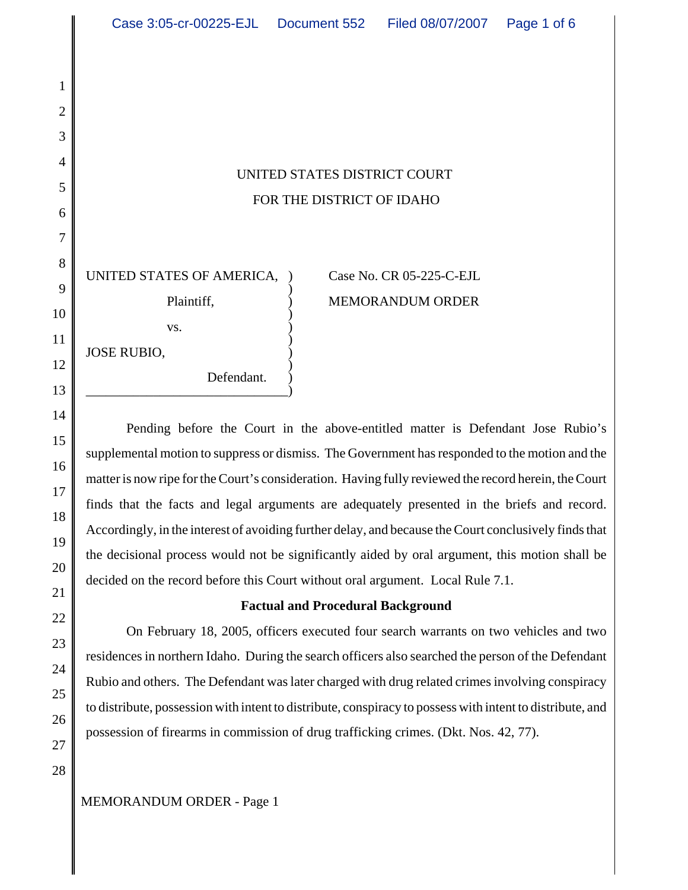# UNITED STATES DISTRICT COURT FOR THE DISTRICT OF IDAHO

UNITED STATES OF AMERICA, Case No. CR 05-225-C-EJL vs.  $\qquad \qquad$  ) ) JOSE RUBIO, )

\_\_\_\_\_\_\_\_\_\_\_\_\_\_\_\_\_\_\_\_\_\_\_\_\_\_\_\_\_\_)

Defendant.

# $\overline{\phantom{a}}$ Plaintiff,  $MEMORANDUM ORDER$  $\overline{)}$

Pending before the Court in the above-entitled matter is Defendant Jose Rubio's supplemental motion to suppress or dismiss. The Government has responded to the motion and the matter is now ripe for the Court's consideration. Having fully reviewed the record herein, the Court finds that the facts and legal arguments are adequately presented in the briefs and record. Accordingly, in the interest of avoiding further delay, and because the Court conclusively finds that the decisional process would not be significantly aided by oral argument, this motion shall be decided on the record before this Court without oral argument. Local Rule 7.1.

# **Factual and Procedural Background**

On February 18, 2005, officers executed four search warrants on two vehicles and two residences in northern Idaho. During the search officers also searched the person of the Defendant Rubio and others. The Defendant was later charged with drug related crimes involving conspiracy to distribute, possession with intent to distribute, conspiracy to possess with intent to distribute, and possession of firearms in commission of drug trafficking crimes. (Dkt. Nos. 42, 77).

# MEMORANDUM ORDER - Page 1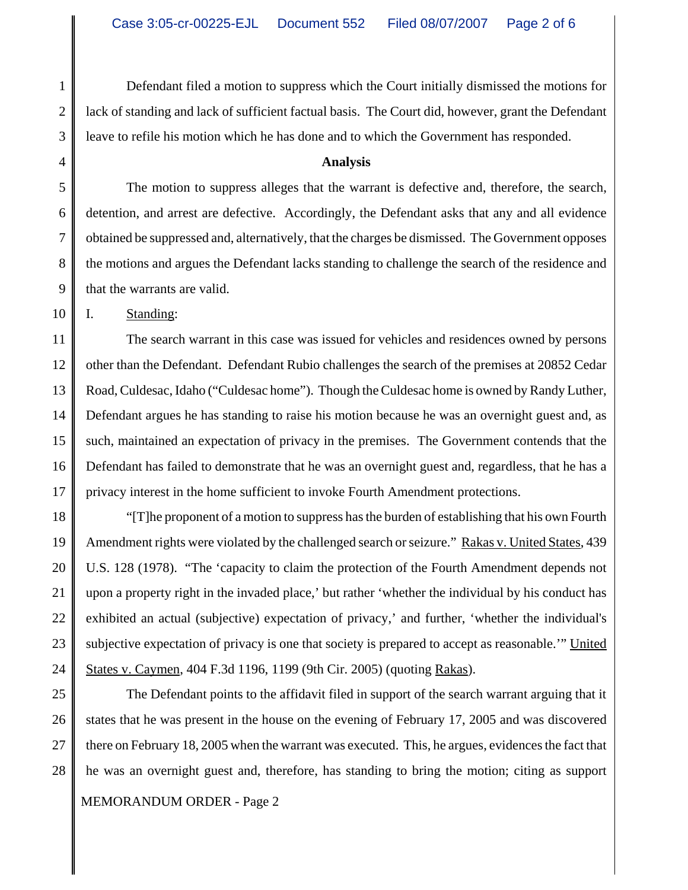Defendant filed a motion to suppress which the Court initially dismissed the motions for lack of standing and lack of sufficient factual basis. The Court did, however, grant the Defendant leave to refile his motion which he has done and to which the Government has responded.

#### **Analysis**

The motion to suppress alleges that the warrant is defective and, therefore, the search, detention, and arrest are defective. Accordingly, the Defendant asks that any and all evidence obtained be suppressed and, alternatively, that the charges be dismissed. The Government opposes the motions and argues the Defendant lacks standing to challenge the search of the residence and that the warrants are valid.

10 I. Standing:

11 12 13 14 15 16 17 The search warrant in this case was issued for vehicles and residences owned by persons other than the Defendant. Defendant Rubio challenges the search of the premises at 20852 Cedar Road, Culdesac, Idaho ("Culdesac home"). Though the Culdesac home is owned by Randy Luther, Defendant argues he has standing to raise his motion because he was an overnight guest and, as such, maintained an expectation of privacy in the premises. The Government contends that the Defendant has failed to demonstrate that he was an overnight guest and, regardless, that he has a privacy interest in the home sufficient to invoke Fourth Amendment protections.

18 19 20 21 22 23 24 "[T]he proponent of a motion to suppress has the burden of establishing that his own Fourth Amendment rights were violated by the challenged search or seizure." Rakas v. United States, 439 U.S. 128 (1978). "The 'capacity to claim the protection of the Fourth Amendment depends not upon a property right in the invaded place,' but rather 'whether the individual by his conduct has exhibited an actual (subjective) expectation of privacy,' and further, 'whether the individual's subjective expectation of privacy is one that society is prepared to accept as reasonable.'" United States v. Caymen, 404 F.3d 1196, 1199 (9th Cir. 2005) (quoting Rakas).

25 26 27 28 The Defendant points to the affidavit filed in support of the search warrant arguing that it states that he was present in the house on the evening of February 17, 2005 and was discovered there on February 18, 2005 when the warrant was executed. This, he argues, evidences the fact that he was an overnight guest and, therefore, has standing to bring the motion; citing as support

#### MEMORANDUM ORDER - Page 2

7

8

9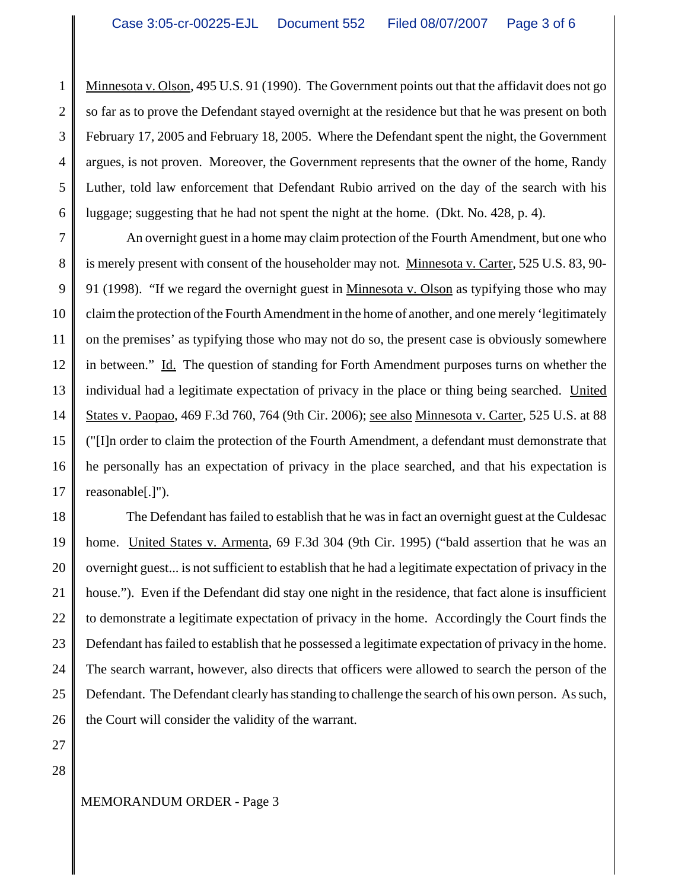1 2 3 4 5 6 Minnesota v. Olson, 495 U.S. 91 (1990). The Government points out that the affidavit does not go so far as to prove the Defendant stayed overnight at the residence but that he was present on both February 17, 2005 and February 18, 2005. Where the Defendant spent the night, the Government argues, is not proven. Moreover, the Government represents that the owner of the home, Randy Luther, told law enforcement that Defendant Rubio arrived on the day of the search with his luggage; suggesting that he had not spent the night at the home. (Dkt. No. 428, p. 4).

7 8 9 10 11 12 13 14 15 16 17 An overnight guest in a home may claim protection of the Fourth Amendment, but one who is merely present with consent of the householder may not. Minnesota v. Carter, 525 U.S. 83, 90- 91 (1998). "If we regard the overnight guest in Minnesota v. Olson as typifying those who may claim the protection of the Fourth Amendment in the home of another, and one merely 'legitimately on the premises' as typifying those who may not do so, the present case is obviously somewhere in between." Id. The question of standing for Forth Amendment purposes turns on whether the individual had a legitimate expectation of privacy in the place or thing being searched. United States v. Paopao, 469 F.3d 760, 764 (9th Cir. 2006); see also Minnesota v. Carter, 525 U.S. at 88 ("[I]n order to claim the protection of the Fourth Amendment, a defendant must demonstrate that he personally has an expectation of privacy in the place searched, and that his expectation is reasonable[.]").

18 19 20 21 22 23 24 25 26 The Defendant has failed to establish that he was in fact an overnight guest at the Culdesac home. United States v. Armenta, 69 F.3d 304 (9th Cir. 1995) ("bald assertion that he was an overnight guest... is not sufficient to establish that he had a legitimate expectation of privacy in the house."). Even if the Defendant did stay one night in the residence, that fact alone is insufficient to demonstrate a legitimate expectation of privacy in the home. Accordingly the Court finds the Defendant has failed to establish that he possessed a legitimate expectation of privacy in the home. The search warrant, however, also directs that officers were allowed to search the person of the Defendant. The Defendant clearly has standing to challenge the search of his own person. As such, the Court will consider the validity of the warrant.

27 28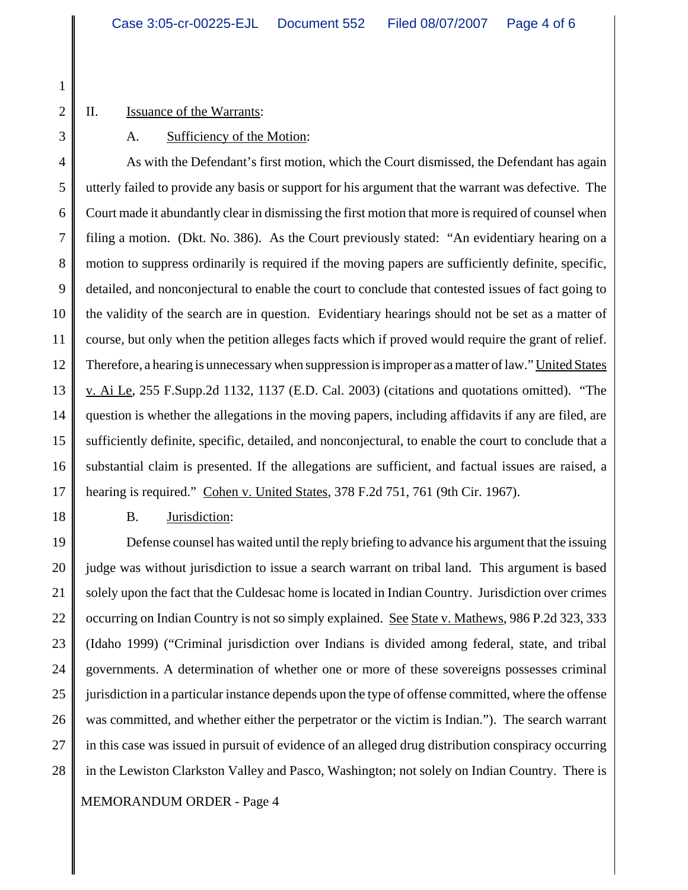1 2 3

#### II. Issuance of the Warrants:

A. Sufficiency of the Motion:

4 5 6 7 8 9 10 11 12 13 14 15 16 17 As with the Defendant's first motion, which the Court dismissed, the Defendant has again utterly failed to provide any basis or support for his argument that the warrant was defective. The Court made it abundantly clear in dismissing the first motion that more is required of counsel when filing a motion. (Dkt. No. 386). As the Court previously stated: "An evidentiary hearing on a motion to suppress ordinarily is required if the moving papers are sufficiently definite, specific, detailed, and nonconjectural to enable the court to conclude that contested issues of fact going to the validity of the search are in question. Evidentiary hearings should not be set as a matter of course, but only when the petition alleges facts which if proved would require the grant of relief. Therefore, a hearing is unnecessary when suppression is improper as a matter of law." United States v. Ai Le, 255 F.Supp.2d 1132, 1137 (E.D. Cal. 2003) (citations and quotations omitted). "The question is whether the allegations in the moving papers, including affidavits if any are filed, are sufficiently definite, specific, detailed, and nonconjectural, to enable the court to conclude that a substantial claim is presented. If the allegations are sufficient, and factual issues are raised, a hearing is required." Cohen v. United States, 378 F.2d 751, 761 (9th Cir. 1967).

18

B. Jurisdiction:

19 20 21 22 23 24 25 26 27 28 Defense counsel has waited until the reply briefing to advance his argument that the issuing judge was without jurisdiction to issue a search warrant on tribal land. This argument is based solely upon the fact that the Culdesac home is located in Indian Country. Jurisdiction over crimes occurring on Indian Country is not so simply explained. See State v. Mathews, 986 P.2d 323, 333 (Idaho 1999) ("Criminal jurisdiction over Indians is divided among federal, state, and tribal governments. A determination of whether one or more of these sovereigns possesses criminal jurisdiction in a particular instance depends upon the type of offense committed, where the offense was committed, and whether either the perpetrator or the victim is Indian."). The search warrant in this case was issued in pursuit of evidence of an alleged drug distribution conspiracy occurring in the Lewiston Clarkston Valley and Pasco, Washington; not solely on Indian Country. There is

## MEMORANDUM ORDER - Page 4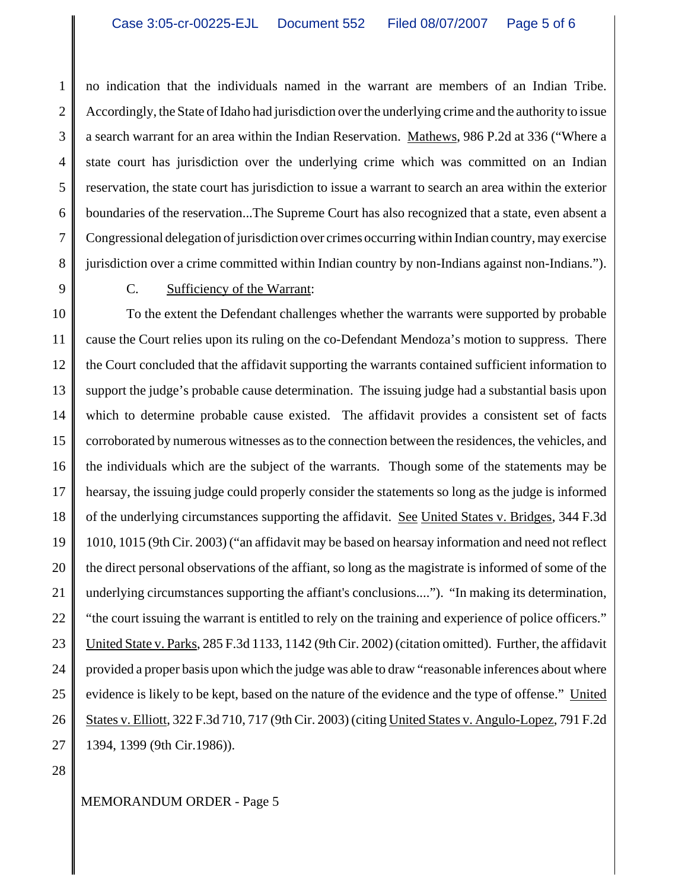1 2 3 4 5 6 7 8 no indication that the individuals named in the warrant are members of an Indian Tribe. Accordingly, the State of Idaho had jurisdiction over the underlying crime and the authority to issue a search warrant for an area within the Indian Reservation. Mathews, 986 P.2d at 336 ("Where a state court has jurisdiction over the underlying crime which was committed on an Indian reservation, the state court has jurisdiction to issue a warrant to search an area within the exterior boundaries of the reservation...The Supreme Court has also recognized that a state, even absent a Congressional delegation of jurisdiction over crimes occurring within Indian country, may exercise jurisdiction over a crime committed within Indian country by non-Indians against non-Indians.").

9

## C. Sufficiency of the Warrant:

10 11 12 13 14 15 16 17 18 19 20 21 22 23 24 25 26 27 To the extent the Defendant challenges whether the warrants were supported by probable cause the Court relies upon its ruling on the co-Defendant Mendoza's motion to suppress. There the Court concluded that the affidavit supporting the warrants contained sufficient information to support the judge's probable cause determination. The issuing judge had a substantial basis upon which to determine probable cause existed. The affidavit provides a consistent set of facts corroborated by numerous witnesses as to the connection between the residences, the vehicles, and the individuals which are the subject of the warrants. Though some of the statements may be hearsay, the issuing judge could properly consider the statements so long as the judge is informed of the underlying circumstances supporting the affidavit. See United States v. Bridges, 344 F.3d 1010, 1015 (9th Cir. 2003) ("an affidavit may be based on hearsay information and need not reflect the direct personal observations of the affiant, so long as the magistrate is informed of some of the underlying circumstances supporting the affiant's conclusions...."). "In making its determination, "the court issuing the warrant is entitled to rely on the training and experience of police officers." United State v. Parks, 285 F.3d 1133, 1142 (9th Cir. 2002) (citation omitted). Further, the affidavit provided a proper basis upon which the judge was able to draw "reasonable inferences about where evidence is likely to be kept, based on the nature of the evidence and the type of offense." United States v. Elliott, 322 F.3d 710, 717 (9th Cir. 2003) (citing United States v. Angulo-Lopez, 791 F.2d 1394, 1399 (9th Cir.1986)).

28